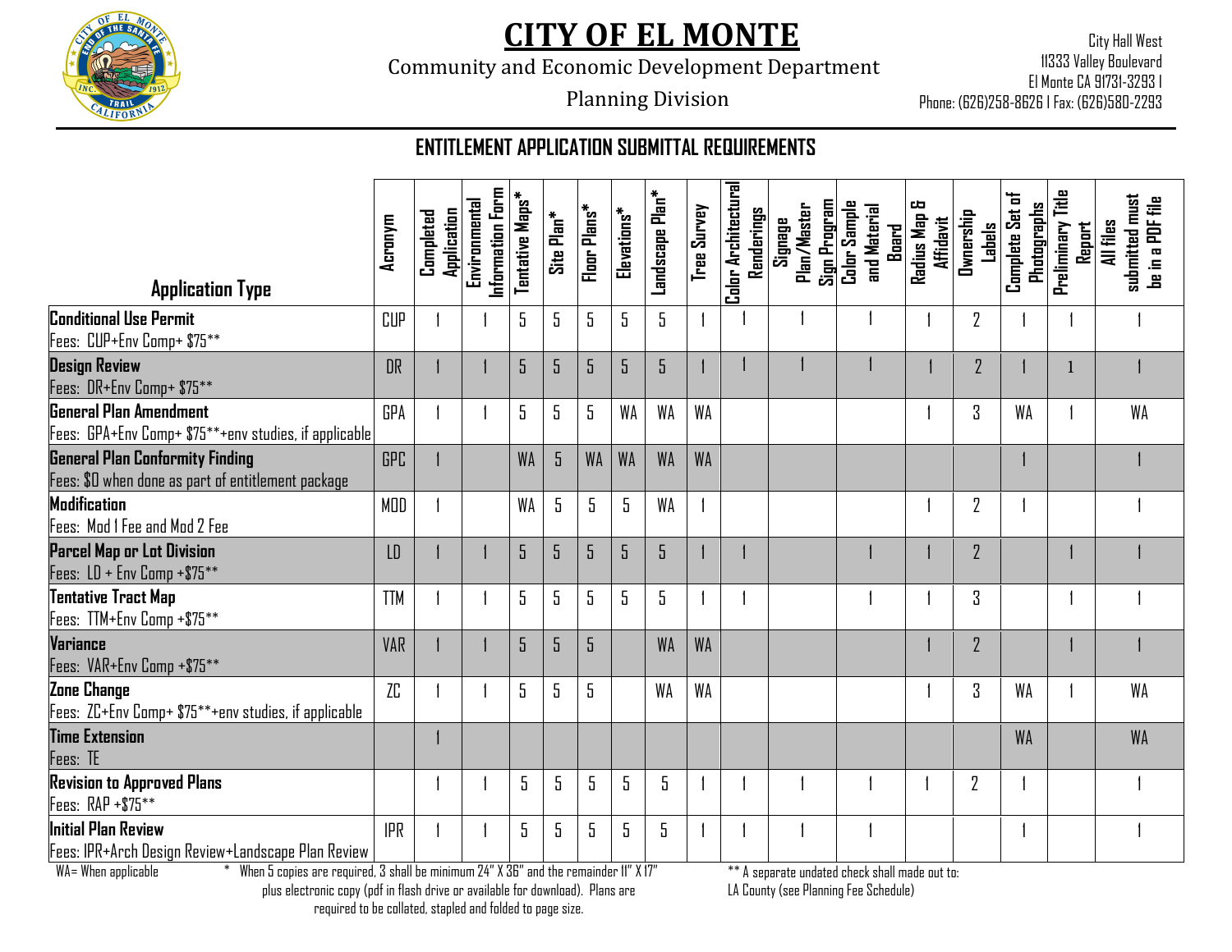

Community and Economic Development Department

City Hall West 11333 Valley Boulevard El Monte CA 91731-3293 I Phone: (626)258-8626 I Fax: (626)580-2293

## Planning Division

### **ENTITLEMENT APPLICATION SUBMITTAL REQUIREMENTS**

|                                                                                              | Acronym    | Application<br>Completed | Information Form<br>Environmental | Tentative Maps* | Site Plan* | Floor Plans* | Elevations* | Landscape Plan* | Tree Survey | Color Architectural<br>Renderings | Sign Program<br>Plan/Master<br>Signage | Color Sample<br>and Material<br>Buard | ᅄ<br>Radius Map<br><b>Affidavit</b> | Ownership<br>Labels | Complete Set of<br><b>Photographs</b> | Preliminary Title<br>Report | submitted must<br>be in a PDF file<br>All files |
|----------------------------------------------------------------------------------------------|------------|--------------------------|-----------------------------------|-----------------|------------|--------------|-------------|-----------------|-------------|-----------------------------------|----------------------------------------|---------------------------------------|-------------------------------------|---------------------|---------------------------------------|-----------------------------|-------------------------------------------------|
| <b>Application Type</b>                                                                      |            |                          |                                   |                 |            |              |             |                 |             |                                   |                                        |                                       |                                     |                     |                                       |                             |                                                 |
| <b>Conditional Use Permit</b><br>Fees: CUP+Env Comp+ \$75**                                  | <b>CUP</b> |                          |                                   | $5\,$           | 5          | 5            | 5           | 5               |             |                                   |                                        |                                       |                                     | 2                   |                                       |                             |                                                 |
| <b>Design Review</b><br>Fees: DR+Env Comp+ \$75**                                            | DR         |                          |                                   | 5               | 5          | 5            | 5           | 5               |             |                                   |                                        |                                       |                                     | $\overline{2}$      |                                       |                             |                                                 |
| <b>General Plan Amendment</b><br>Fees: GPA+Env Comp+ \$75**+env studies, if applicable       | <b>GPA</b> |                          |                                   | 5               | 5          | 5            | <b>WA</b>   | <b>WA</b>       | WA          |                                   |                                        |                                       |                                     | 3                   | WA                                    |                             | <b>WA</b>                                       |
| <b>General Plan Conformity Finding</b><br>Fees: \$0 when done as part of entitlement package | <b>GPC</b> |                          |                                   | <b>WA</b>       | 5          | <b>WA</b>    | <b>WA</b>   | <b>WA</b>       | <b>WA</b>   |                                   |                                        |                                       |                                     |                     |                                       |                             |                                                 |
| Modification<br>Fees: Mod 1 Fee and Mod 2 Fee                                                | MOD        |                          |                                   | WA              | 5          | 5            | 5           | WA              |             |                                   |                                        |                                       |                                     | $\overline{2}$      |                                       |                             |                                                 |
| Parcel Map or Lot Division<br>Fees: LD + Env Comp +\$75**                                    | LD         |                          |                                   | 5               | 5          | 5            | 5           | 5               |             |                                   |                                        |                                       |                                     | $\overline{2}$      |                                       |                             |                                                 |
| <b>Tentative Tract Map</b><br>Fees: TTM+Env Comp +\$75**                                     | <b>TTM</b> |                          |                                   | 5               | 5          | 5            | 5           | 5               |             |                                   |                                        |                                       |                                     | 3                   |                                       |                             |                                                 |
| Variance<br>Fees: VAR+Env Comp +\$75**                                                       | <b>VAR</b> |                          |                                   | 5               | 5          | 5            |             | <b>WA</b>       | <b>WA</b>   |                                   |                                        |                                       |                                     | $\overline{2}$      |                                       |                             |                                                 |
| Zone Change<br>Fees: ZC+Env Comp+ \$75**+env studies, if applicable                          | ZC         |                          |                                   | 5               | 5          | 5            |             | <b>WA</b>       | WΑ          |                                   |                                        |                                       |                                     | 3                   | WA                                    |                             | WA                                              |
| <b>Time Extension</b><br>Fees: TE                                                            |            |                          |                                   |                 |            |              |             |                 |             |                                   |                                        |                                       |                                     |                     | <b>WA</b>                             |                             | <b>WA</b>                                       |
| <b>Revision to Approved Plans</b><br>Fees: RAP +\$75**                                       |            |                          |                                   | 5               | 5          | 5            | $5\,$       | 5               |             |                                   |                                        |                                       |                                     | $\overline{2}$      |                                       |                             |                                                 |
| Initial Plan Review<br>Fees: IPR+Arch Design Review+Landscape Plan Review                    | <b>IPR</b> |                          |                                   | 5               | 5          | 5            | 5           | 5               |             |                                   |                                        |                                       |                                     |                     |                                       |                             |                                                 |

LA County (see Planning Fee Schedule)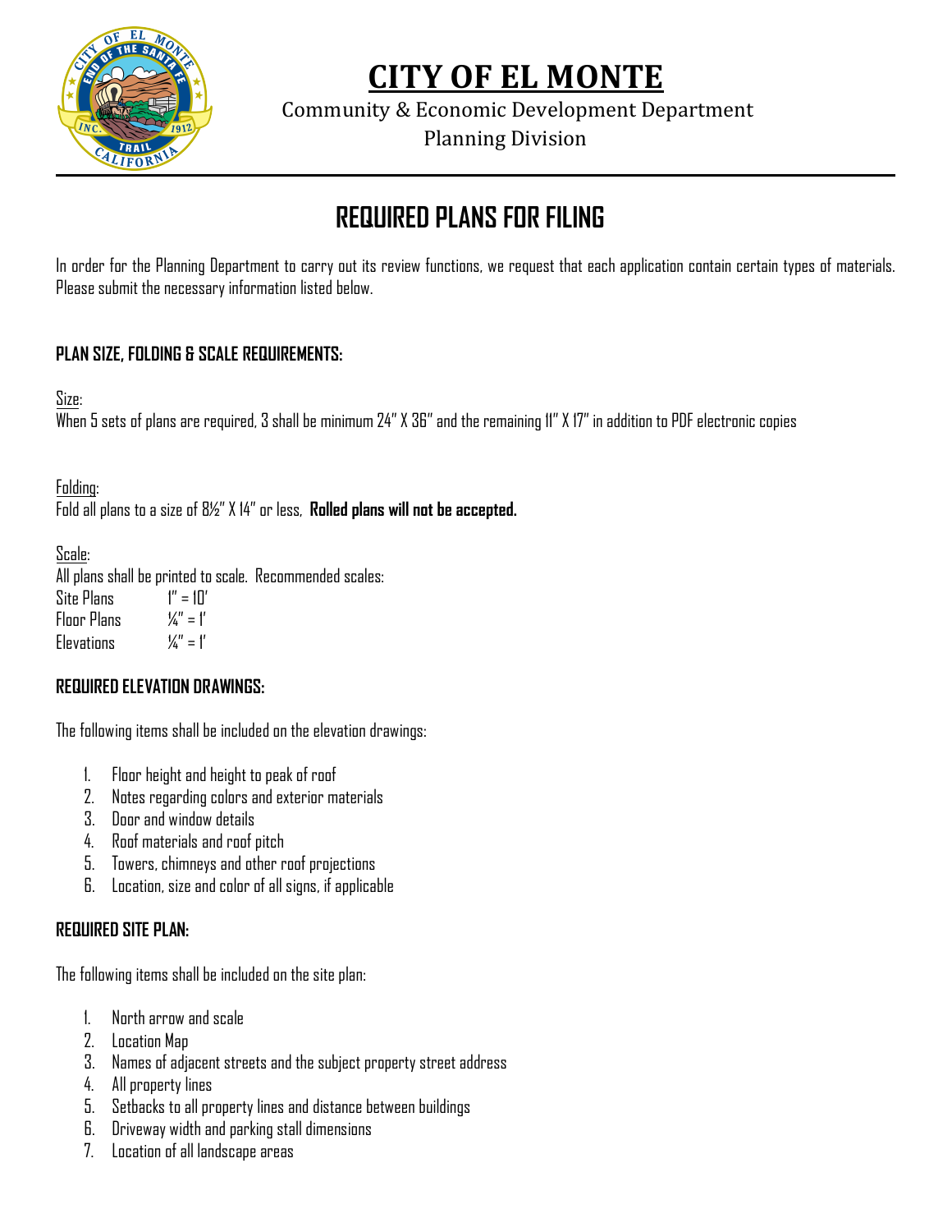

Community & Economic Development Department

Planning Division

# **REQUIRED PLANS FOR FILING**

In order for the Planning Department to carry out its review functions, we request that each application contain certain types of materials. Please submit the necessary information listed below.

### **PLAN SIZE, FOLDING & SCALE REQUIREMENTS:**

Size:

When 5 sets of plans are required, 3 shall be minimum 24" X 36" and the remaining 11" X 17" in addition to PDF electronic copies

Folding:

Fold all plans to a size of 8½" X 14" or less, **Rolled plans will not be accepted.** 

Scale:

All plans shall be printed to scale. Recommended scales: Site Plans  $1'' = 10'$ Floor Plans  $\mathcal{U}'' = \mathcal{V}'$ Flevations  $\mathcal{U}'' = \mathcal{I}'$ 

### **REQUIRED ELEVATION DRAWINGS:**

The following items shall be included on the elevation drawings:

- 1. Floor height and height to peak of roof
- 2. Notes regarding colors and exterior materials
- 3. Door and window details
- 4. Roof materials and roof pitch
- 5. Towers, chimneys and other roof projections
- 6. Location, size and color of all signs, if applicable

### **REQUIRED SITE PLAN:**

The following items shall be included on the site plan:

- 1. North arrow and scale
- 2. Location Map
- 3. Names of adjacent streets and the subject property street address
- 4. All property lines
- 5. Setbacks to all property lines and distance between buildings
- 6. Driveway width and parking stall dimensions
- 7. Location of all landscape areas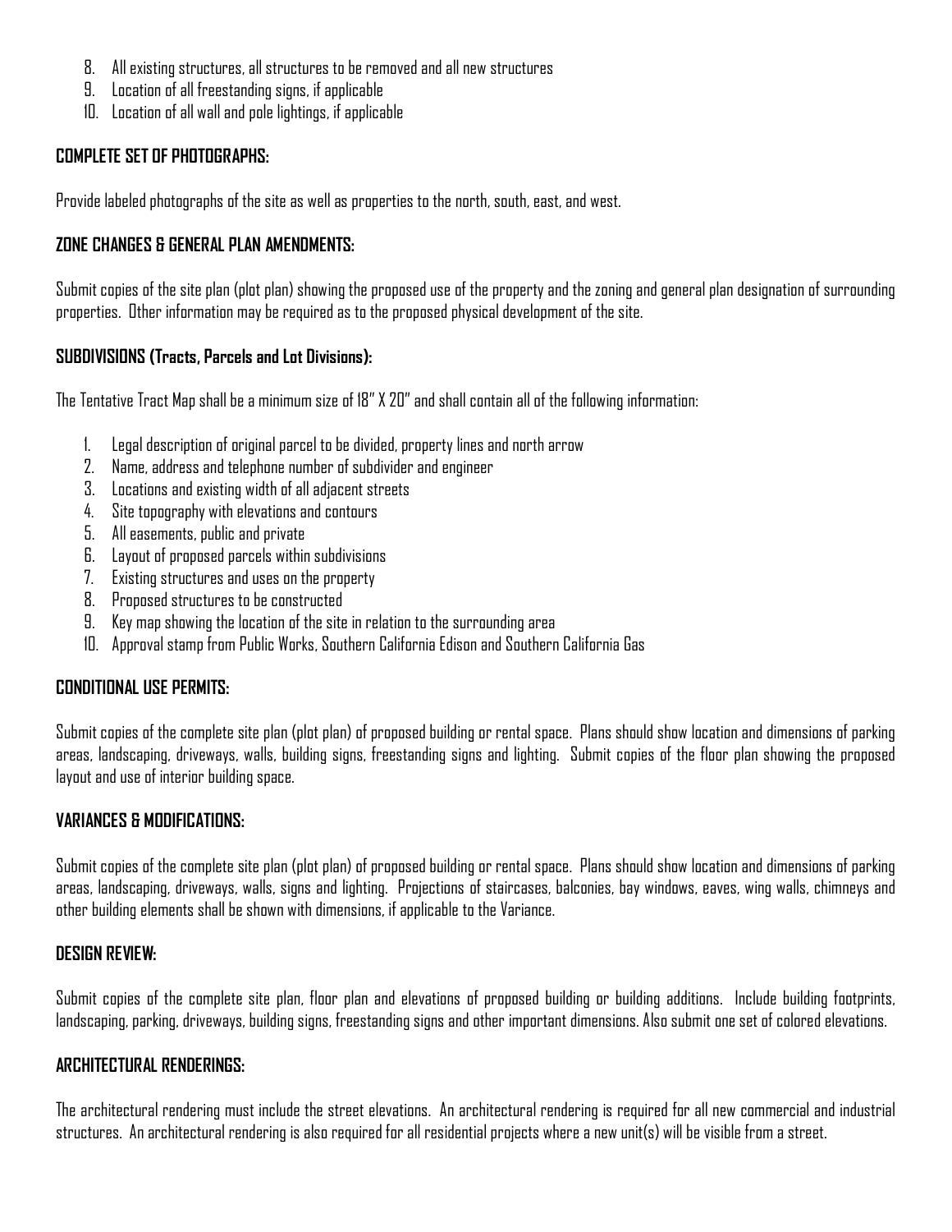- 8. All existing structures, all structures to be removed and all new structures
- 9. Location of all freestanding signs, if applicable
- 10. Location of all wall and pole lightings, if applicable

#### **COMPLETE SET OF PHOTOGRAPHS:**

Provide labeled photographs of the site as well as properties to the north, south, east, and west.

#### **ZONE CHANGES & GENERAL PLAN AMENDMENTS:**

Submit copies of the site plan (plot plan) showing the proposed use of the property and the zoning and general plan designation of surrounding properties. Other information may be required as to the proposed physical development of the site.

#### **SUBDIVISIONS (Tracts, Parcels and Lot Divisions):**

The Tentative Tract Map shall be a minimum size of 18" X 20" and shall contain all of the following information:

- 1. Legal description of original parcel to be divided, property lines and north arrow
- 2. Name, address and telephone number of subdivider and engineer
- 3. Locations and existing width of all adjacent streets
- 4. Site topography with elevations and contours
- 5. All easements, public and private
- 6. Layout of proposed parcels within subdivisions
- 7. Existing structures and uses on the property
- 8. Proposed structures to be constructed
- 9. Key map showing the location of the site in relation to the surrounding area
- 10. Approval stamp from Public Works, Southern California Edison and Southern California Gas

#### **CONDITIONAL USE PERMITS:**

Submit copies of the complete site plan (plot plan) of proposed building or rental space. Plans should show location and dimensions of parking areas, landscaping, driveways, walls, building signs, freestanding signs and lighting. Submit copies of the floor plan showing the proposed layout and use of interior building space.

#### **VARIANCES & MODIFICATIONS:**

Submit copies of the complete site plan (plot plan) of proposed building or rental space. Plans should show location and dimensions of parking areas, landscaping, driveways, walls, signs and lighting. Projections of staircases, balconies, bay windows, eaves, wing walls, chimneys and other building elements shall be shown with dimensions, if applicable to the Variance.

#### **DESIGN REVIEW:**

Submit copies of the complete site plan, floor plan and elevations of proposed building or building additions. Include building footprints, landscaping, parking, driveways, building signs, freestanding signs and other important dimensions. Also submit one set of colored elevations.

#### **ARCHITECTURAL RENDERINGS:**

The architectural rendering must include the street elevations. An architectural rendering is required for all new commercial and industrial structures. An architectural rendering is also required for all residential projects where a new unit(s) will be visible from a street.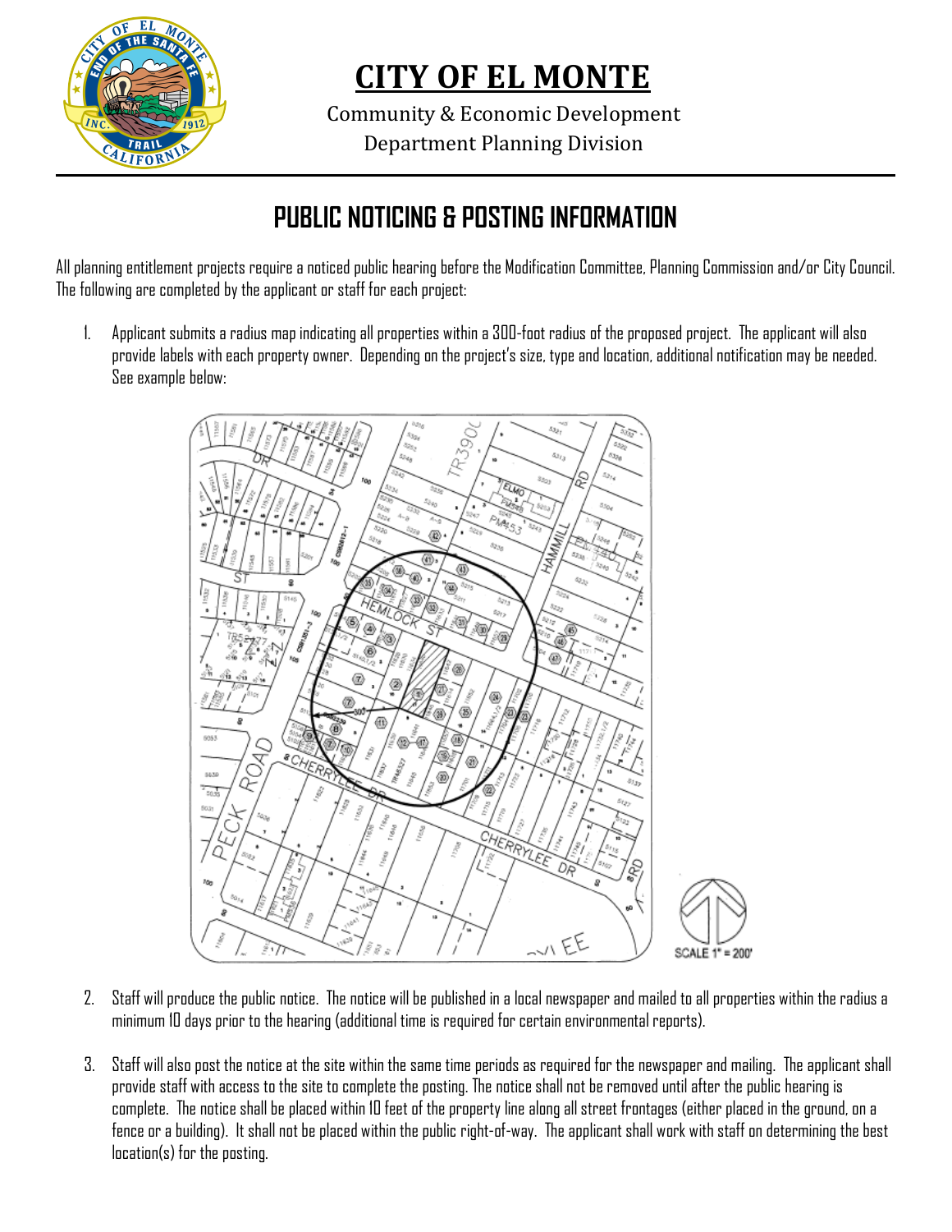

Community & Economic Development Department Planning Division

## **PUBLIC NOTICING & POSTING INFORMATION**

All planning entitlement projects require a noticed public hearing before the Modification Committee, Planning Commission and/or City Council. The following are completed by the applicant or staff for each project:

1. Applicant submits a radius map indicating all properties within a 300-foot radius of the proposed project. The applicant will also provide labels with each property owner. Depending on the project's size, type and location, additional notification may be needed. See example below:



- 2. Staff will produce the public notice. The notice will be published in a local newspaper and mailed to all properties within the radius a minimum 10 days prior to the hearing (additional time is required for certain environmental reports).
- 3. Staff will also post the notice at the site within the same time periods as required for the newspaper and mailing. The applicant shall provide staff with access to the site to complete the posting. The notice shall not be removed until after the public hearing is complete. The notice shall be placed within 10 feet of the property line along all street frontages (either placed in the ground, on a fence or a building). It shall not be placed within the public right-of-way. The applicant shall work with staff on determining the best location(s) for the posting.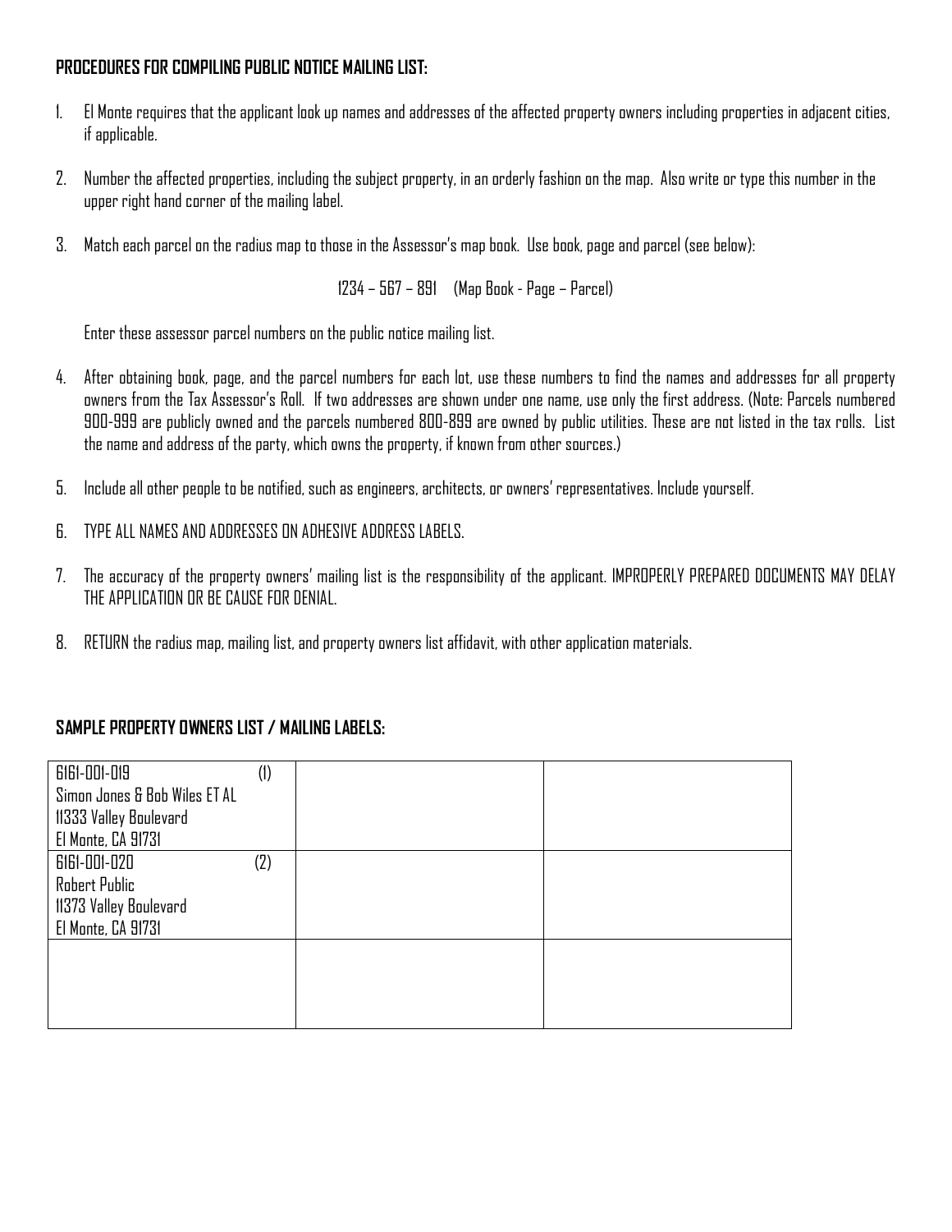#### **PROCEDURES FOR COMPILING PUBLIC NOTICE MAILING LIST:**

- 1. El Monte requires that the applicant look up names and addresses of the affected property owners including properties in adjacent cities, if applicable.
- 2. Number the affected properties, including the subject property, in an orderly fashion on the map. Also write or type this number in the upper right hand corner of the mailing label.
- 3. Match each parcel on the radius map to those in the Assessor's map book. Use book, page and parcel (see below):

1234 – 567 – 891 (Map Book - Page – Parcel)

Enter these assessor parcel numbers on the public notice mailing list.

- 4. After obtaining book, page, and the parcel numbers for each lot, use these numbers to find the names and addresses for all property owners from the Tax Assessor's Roll. If two addresses are shown under one name, use only the first address. (Note: Parcels numbered 900-999 are publicly owned and the parcels numbered 800-899 are owned by public utilities. These are not listed in the tax rolls. List the name and address of the party, which owns the property, if known from other sources.)
- 5. Include all other people to be notified, such as engineers, architects, or owners' representatives. Include yourself.
- 6. TYPE ALL NAMES AND ADDRESSES ON ADHESIVE ADDRESS LABELS.
- 7. The accuracy of the property owners' mailing list is the responsibility of the applicant. IMPROPERLY PREPARED DOCUMENTS MAY DELAY THE APPLICATION OR BE CAUSE FOR DENIAL.
- 8. RETURN the radius map, mailing list, and property owners list affidavit, with other application materials.

#### **SAMPLE PROPERTY OWNERS LIST / MAILING LABELS:**

| 6161-001-019                  | $^{(1)}$ |  |
|-------------------------------|----------|--|
| Simon Jones & Bob Wiles ET AL |          |  |
| 11333 Valley Boulevard        |          |  |
| El Monte, CA 91731            |          |  |
| 6161-001-020                  | (2)      |  |
| Robert Public                 |          |  |
| 11373 Valley Boulevard        |          |  |
| El Monte, CA 91731            |          |  |
|                               |          |  |
|                               |          |  |
|                               |          |  |
|                               |          |  |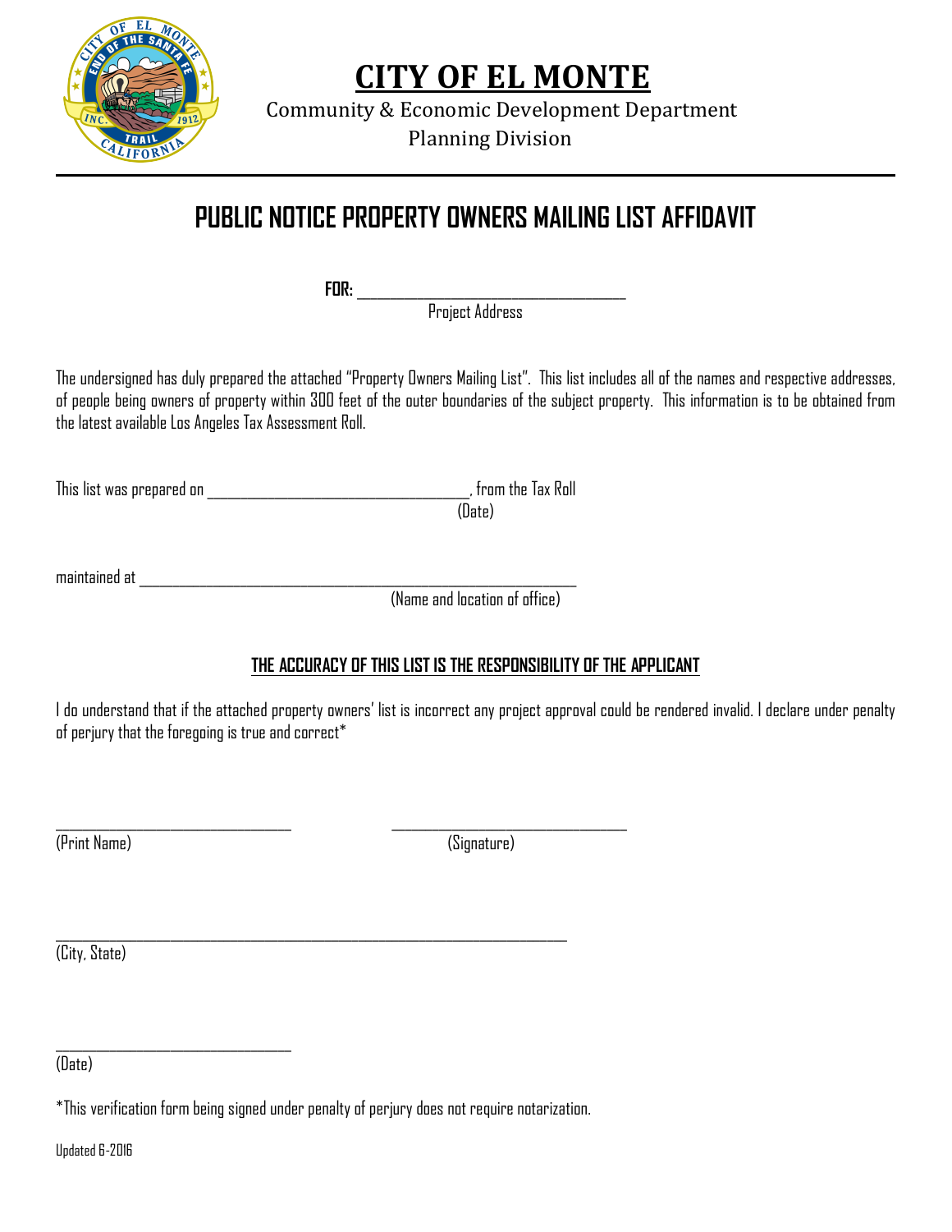

Community & Economic Development Department Planning Division

# **PUBLIC NOTICE PROPERTY OWNERS MAILING LIST AFFIDAVIT**

**FOR:** \_\_\_\_\_\_\_\_\_\_\_\_\_\_\_\_\_\_\_\_\_\_\_\_\_\_\_\_\_\_\_\_\_\_\_\_\_\_\_\_

Project Address

The undersigned has duly prepared the attached "Property Owners Mailing List". This list includes all of the names and respective addresses, of people being owners of property within 300 feet of the outer boundaries of the subject property. This information is to be obtained from the latest available Los Angeles Tax Assessment Roll.

This list was prepared on \_\_\_\_\_\_\_\_\_\_\_\_\_\_\_\_\_\_\_\_\_\_\_\_\_\_\_\_\_\_\_\_\_\_\_\_\_\_\_, from the Tax Roll

(Date)

maintained at  $\overline{\phantom{a}}$ 

(Name and location of office)

## **THE ACCURACY OF THIS LIST IS THE RESPONSIBILITY OF THE APPLICANT**

I do understand that if the attached property owners' list is incorrect any project approval could be rendered invalid. I declare under penalty of perjury that the foregoing is true and correct\*

(Print Name) (Signature)

(City, State)

(Date)

 $\mathcal{L}_\text{max} = \mathcal{L}_\text{max} = \mathcal{L}_\text{max} = \mathcal{L}_\text{max} = \mathcal{L}_\text{max} = \mathcal{L}_\text{max} = \mathcal{L}_\text{max} = \mathcal{L}_\text{max} = \mathcal{L}_\text{max} = \mathcal{L}_\text{max} = \mathcal{L}_\text{max} = \mathcal{L}_\text{max} = \mathcal{L}_\text{max} = \mathcal{L}_\text{max} = \mathcal{L}_\text{max} = \mathcal{L}_\text{max} = \mathcal{L}_\text{max} = \mathcal{L}_\text{max} = \mathcal{$ 

 $\mathcal{L}_\text{max} = \mathcal{L}_\text{max} = \mathcal{L}_\text{max} = \mathcal{L}_\text{max} = \mathcal{L}_\text{max} = \mathcal{L}_\text{max} = \mathcal{L}_\text{max} = \mathcal{L}_\text{max} = \mathcal{L}_\text{max} = \mathcal{L}_\text{max} = \mathcal{L}_\text{max} = \mathcal{L}_\text{max} = \mathcal{L}_\text{max} = \mathcal{L}_\text{max} = \mathcal{L}_\text{max} = \mathcal{L}_\text{max} = \mathcal{L}_\text{max} = \mathcal{L}_\text{max} = \mathcal{$ 

Updated 6-2016

<sup>\*</sup>This verification form being signed under penalty of perjury does not require notarization.